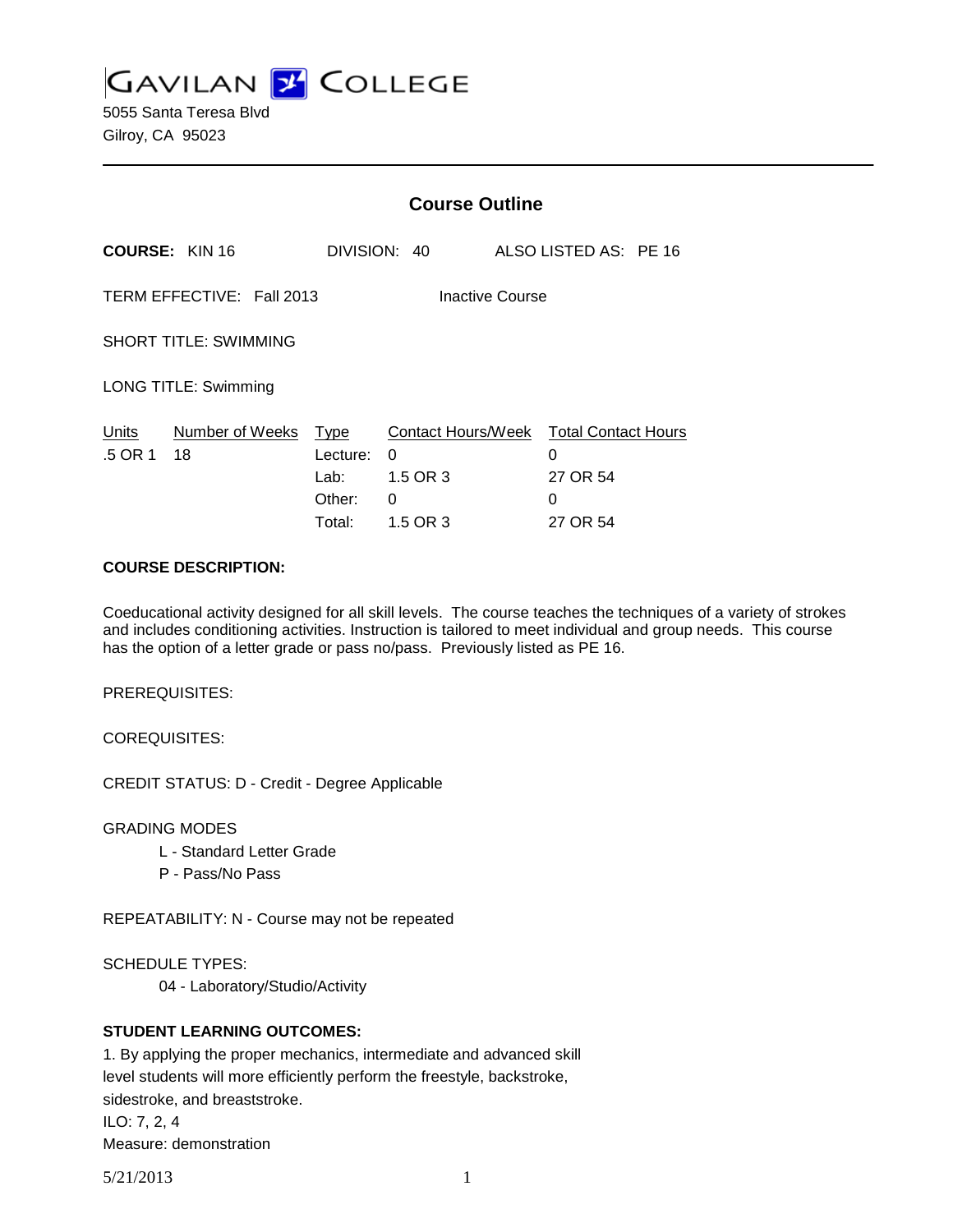**GAVILAN 2 COLLEGE** 

5055 Santa Teresa Blvd Gilroy, CA 95023

|                                              |                       | <b>Course Outline</b>                               |                                                      |                                |                            |
|----------------------------------------------|-----------------------|-----------------------------------------------------|------------------------------------------------------|--------------------------------|----------------------------|
|                                              | <b>COURSE: KIN 16</b> |                                                     | DIVISION: 40                                         | ALSO LISTED AS: PE 16          |                            |
| TERM EFFECTIVE: Fall 2013<br>Inactive Course |                       |                                                     |                                                      |                                |                            |
| <b>SHORT TITLE: SWIMMING</b>                 |                       |                                                     |                                                      |                                |                            |
| LONG TITLE: Swimming                         |                       |                                                     |                                                      |                                |                            |
| Units<br>.5 OR 1                             | Number of Weeks<br>18 | <u>Type</u><br>Lecture:<br>Lab:<br>Other:<br>Total: | Contact Hours/Week<br>0<br>1.5 OR 3<br>0<br>1.5 OR 3 | 0<br>27 OR 54<br>0<br>27 OR 54 | <b>Total Contact Hours</b> |

#### **COURSE DESCRIPTION:**

Coeducational activity designed for all skill levels. The course teaches the techniques of a variety of strokes and includes conditioning activities. Instruction is tailored to meet individual and group needs. This course has the option of a letter grade or pass no/pass. Previously listed as PE 16.

PREREQUISITES:

COREQUISITES:

CREDIT STATUS: D - Credit - Degree Applicable

GRADING MODES

- L Standard Letter Grade
- P Pass/No Pass

REPEATABILITY: N - Course may not be repeated

SCHEDULE TYPES:

04 - Laboratory/Studio/Activity

### **STUDENT LEARNING OUTCOMES:**

1. By applying the proper mechanics, intermediate and advanced skill level students will more efficiently perform the freestyle, backstroke, sidestroke, and breaststroke. ILO: 7, 2, 4 Measure: demonstration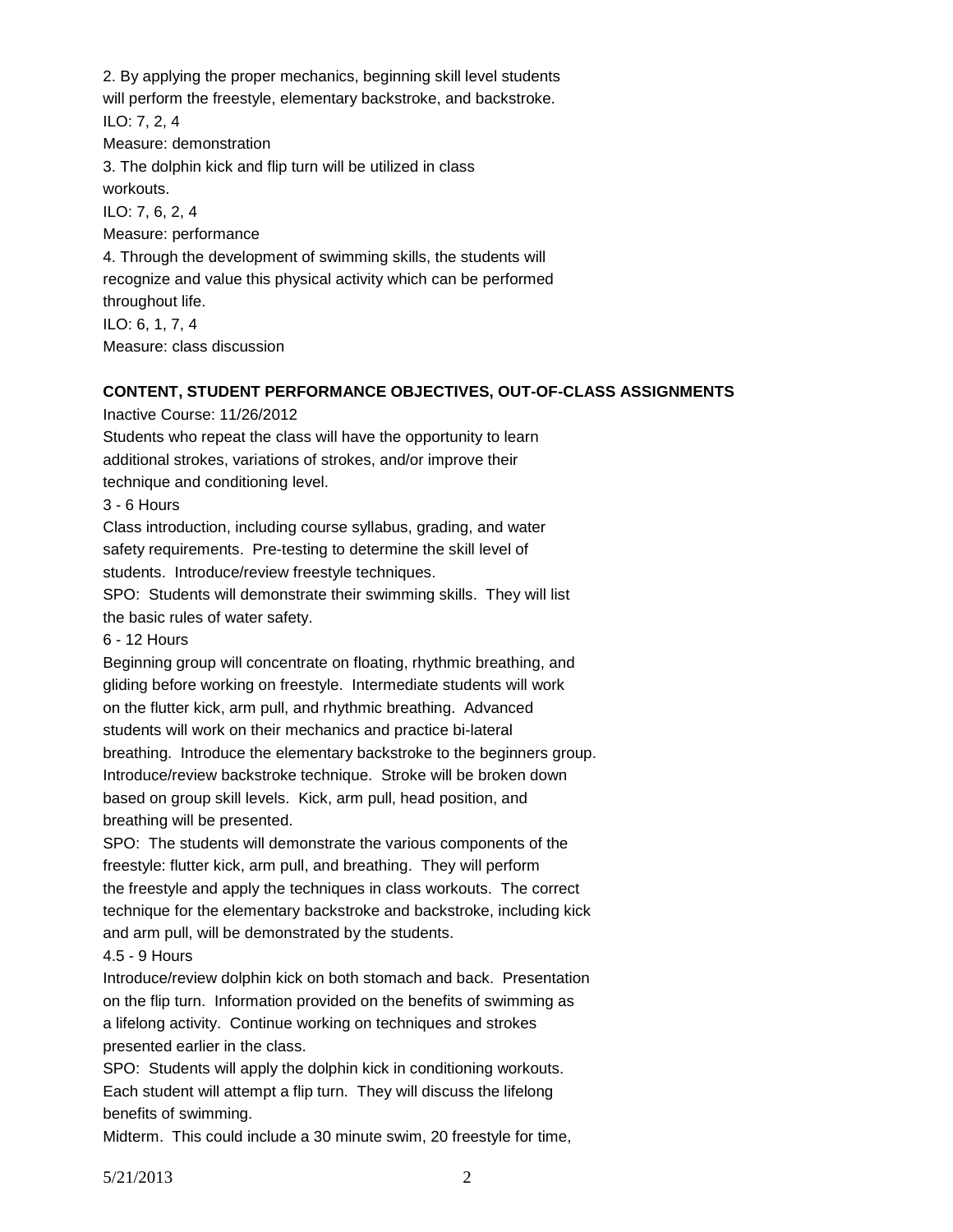2. By applying the proper mechanics, beginning skill level students will perform the freestyle, elementary backstroke, and backstroke. ILO: 7, 2, 4 Measure: demonstration 3. The dolphin kick and flip turn will be utilized in class workouts. ILO: 7, 6, 2, 4 Measure: performance 4. Through the development of swimming skills, the students will recognize and value this physical activity which can be performed throughout life. ILO: 6, 1, 7, 4 Measure: class discussion

### **CONTENT, STUDENT PERFORMANCE OBJECTIVES, OUT-OF-CLASS ASSIGNMENTS**

Inactive Course: 11/26/2012

Students who repeat the class will have the opportunity to learn additional strokes, variations of strokes, and/or improve their technique and conditioning level.

3 - 6 Hours

Class introduction, including course syllabus, grading, and water safety requirements. Pre-testing to determine the skill level of students. Introduce/review freestyle techniques.

SPO: Students will demonstrate their swimming skills. They will list the basic rules of water safety.

6 - 12 Hours

Beginning group will concentrate on floating, rhythmic breathing, and gliding before working on freestyle. Intermediate students will work on the flutter kick, arm pull, and rhythmic breathing. Advanced students will work on their mechanics and practice bi-lateral breathing. Introduce the elementary backstroke to the beginners group. Introduce/review backstroke technique. Stroke will be broken down based on group skill levels. Kick, arm pull, head position, and breathing will be presented.

SPO: The students will demonstrate the various components of the freestyle: flutter kick, arm pull, and breathing. They will perform the freestyle and apply the techniques in class workouts. The correct technique for the elementary backstroke and backstroke, including kick and arm pull, will be demonstrated by the students.

#### 4.5 - 9 Hours

Introduce/review dolphin kick on both stomach and back. Presentation on the flip turn. Information provided on the benefits of swimming as a lifelong activity. Continue working on techniques and strokes presented earlier in the class.

SPO: Students will apply the dolphin kick in conditioning workouts. Each student will attempt a flip turn. They will discuss the lifelong benefits of swimming.

Midterm. This could include a 30 minute swim, 20 freestyle for time,

5/21/2013 2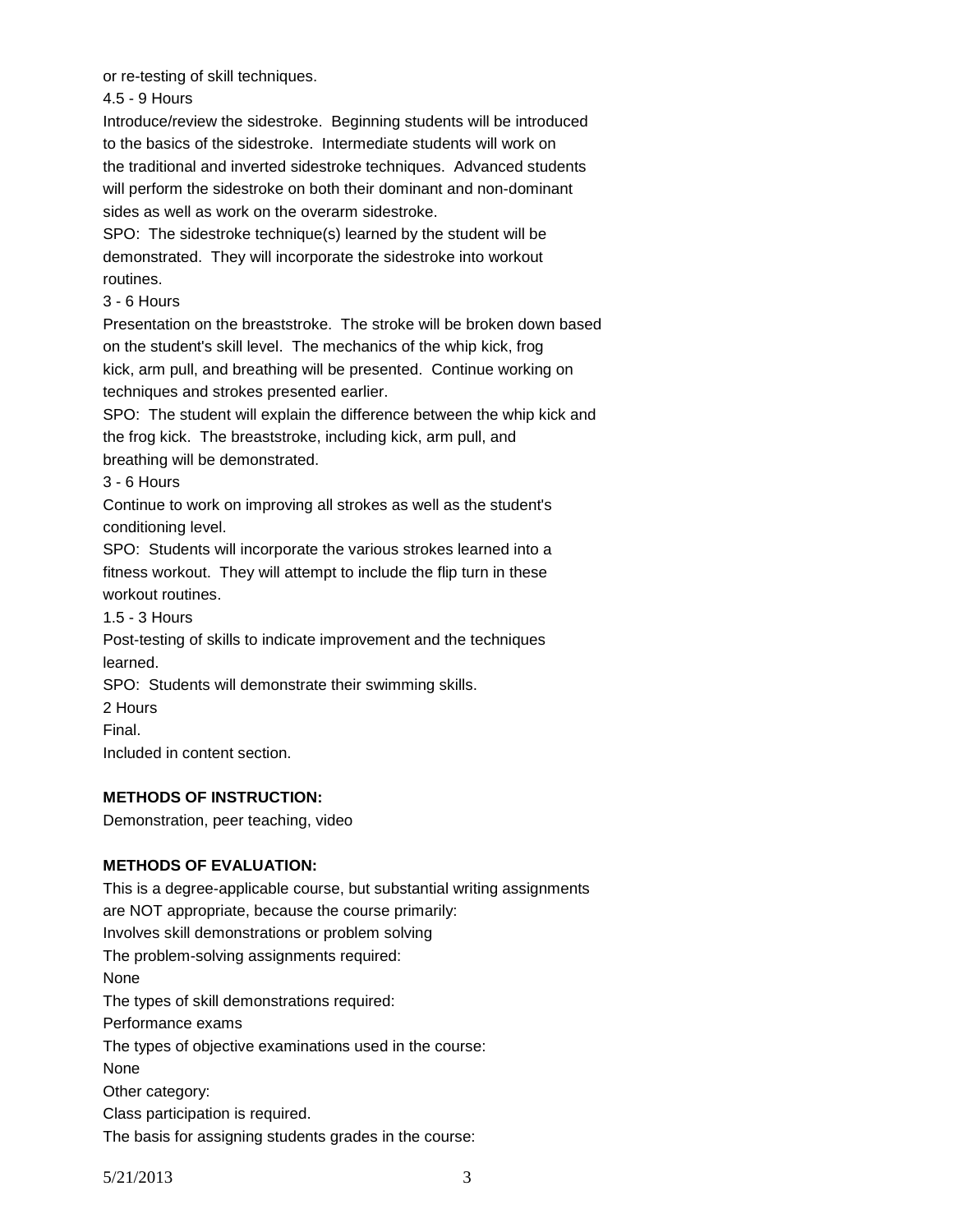or re-testing of skill techniques.

4.5 - 9 Hours

Introduce/review the sidestroke. Beginning students will be introduced to the basics of the sidestroke. Intermediate students will work on the traditional and inverted sidestroke techniques. Advanced students will perform the sidestroke on both their dominant and non-dominant sides as well as work on the overarm sidestroke.

SPO: The sidestroke technique(s) learned by the student will be demonstrated. They will incorporate the sidestroke into workout routines.

## 3 - 6 Hours

Presentation on the breaststroke. The stroke will be broken down based on the student's skill level. The mechanics of the whip kick, frog kick, arm pull, and breathing will be presented. Continue working on techniques and strokes presented earlier.

SPO: The student will explain the difference between the whip kick and the frog kick. The breaststroke, including kick, arm pull, and

breathing will be demonstrated.

3 - 6 Hours

Continue to work on improving all strokes as well as the student's conditioning level.

SPO: Students will incorporate the various strokes learned into a fitness workout. They will attempt to include the flip turn in these workout routines.

1.5 - 3 Hours

Post-testing of skills to indicate improvement and the techniques learned.

SPO: Students will demonstrate their swimming skills.

2 Hours

Final.

Included in content section.

### **METHODS OF INSTRUCTION:**

Demonstration, peer teaching, video

# **METHODS OF EVALUATION:**

This is a degree-applicable course, but substantial writing assignments are NOT appropriate, because the course primarily: Involves skill demonstrations or problem solving The problem-solving assignments required: None The types of skill demonstrations required: Performance exams The types of objective examinations used in the course: None Other category: Class participation is required. The basis for assigning students grades in the course:

5/21/2013 3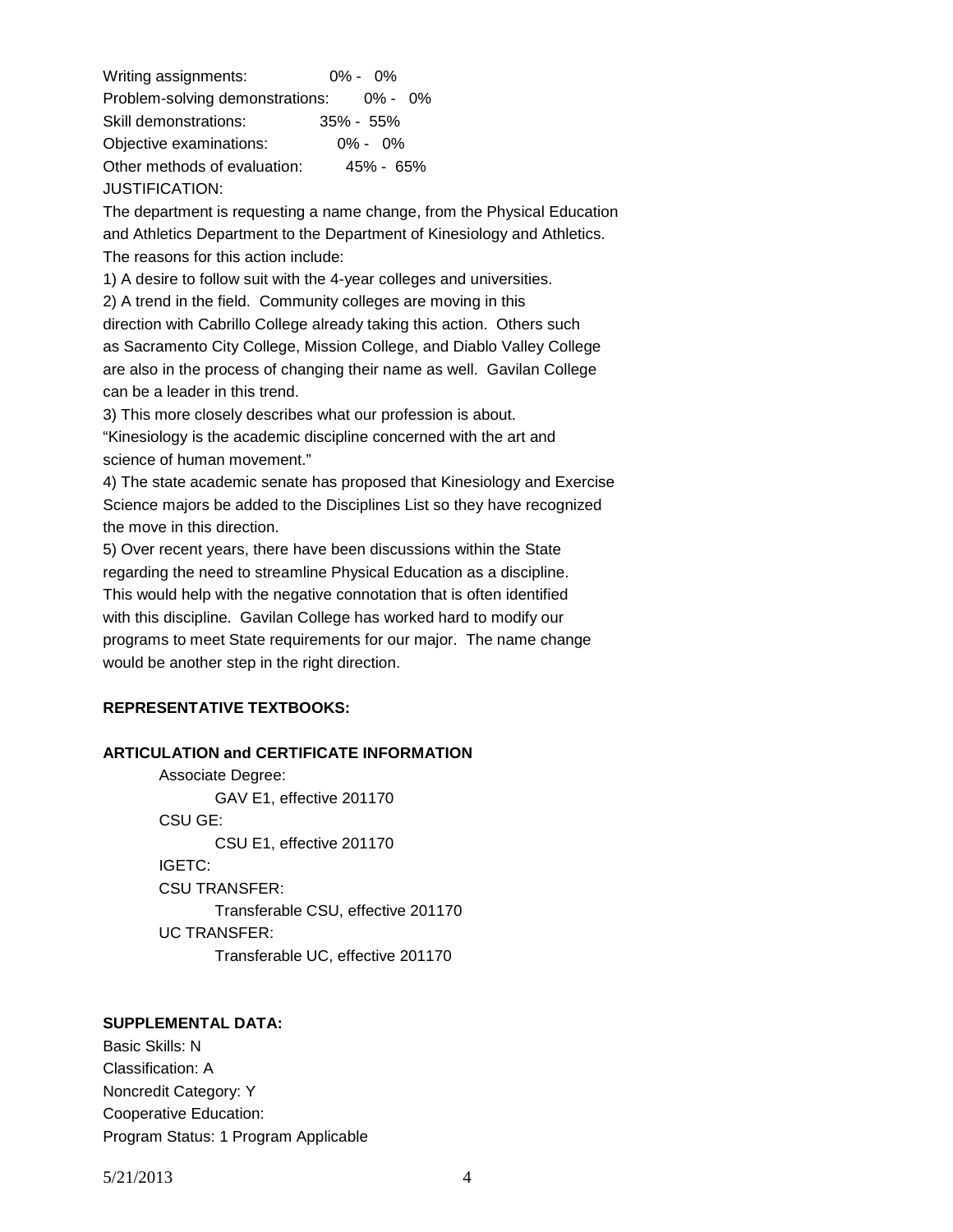Writing assignments: 0% - 0% Problem-solving demonstrations: 0% - 0% Skill demonstrations: 35% - 55% Objective examinations: 0% - 0% Other methods of evaluation: 45% - 65% JUSTIFICATION:

The department is requesting a name change, from the Physical Education and Athletics Department to the Department of Kinesiology and Athletics. The reasons for this action include:

1) A desire to follow suit with the 4-year colleges and universities.

2) A trend in the field. Community colleges are moving in this

direction with Cabrillo College already taking this action. Others such as Sacramento City College, Mission College, and Diablo Valley College are also in the process of changing their name as well. Gavilan College can be a leader in this trend.

3) This more closely describes what our profession is about.

"Kinesiology is the academic discipline concerned with the art and science of human movement."

4) The state academic senate has proposed that Kinesiology and Exercise Science majors be added to the Disciplines List so they have recognized the move in this direction.

5) Over recent years, there have been discussions within the State regarding the need to streamline Physical Education as a discipline. This would help with the negative connotation that is often identified with this discipline. Gavilan College has worked hard to modify our programs to meet State requirements for our major. The name change would be another step in the right direction.

### **REPRESENTATIVE TEXTBOOKS:**

### **ARTICULATION and CERTIFICATE INFORMATION**

Associate Degree: GAV E1, effective 201170 CSU GE: CSU E1, effective 201170 IGETC: CSU TRANSFER: Transferable CSU, effective 201170 UC TRANSFER: Transferable UC, effective 201170

#### **SUPPLEMENTAL DATA:**

Basic Skills: N Classification: A Noncredit Category: Y Cooperative Education: Program Status: 1 Program Applicable

5/21/2013 4